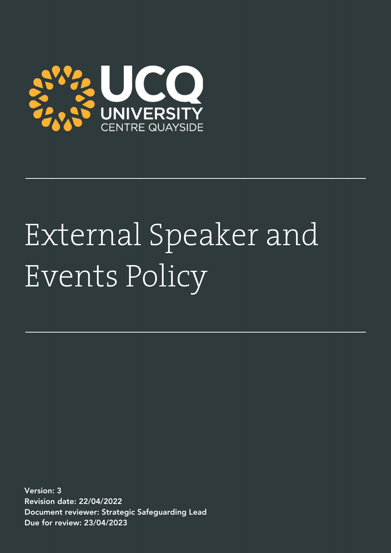

# External Speaker and Events Policy

Version: 3 Revision date: 22/04/2022 Document reviewer: Strategic Safeguarding Lead Due for review: 23/04/2023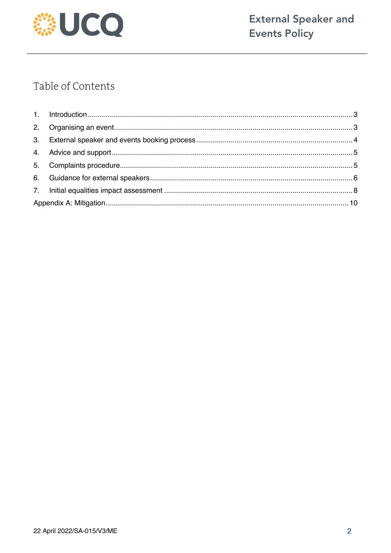

# Table of Contents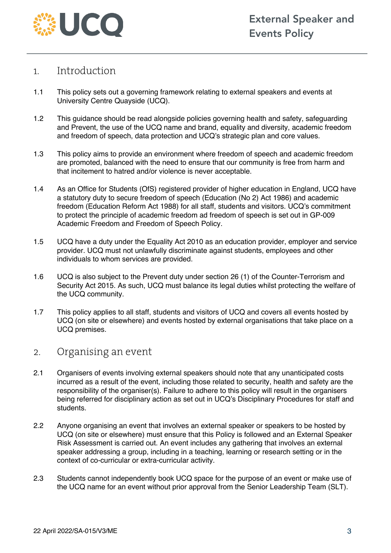

## 1. Introduction

- 1.1 This policy sets out a governing framework relating to external speakers and events at University Centre Quayside (UCQ).
- 1.2 This guidance should be read alongside policies governing health and safety, safeguarding and Prevent, the use of the UCQ name and brand, equality and diversity, academic freedom and freedom of speech, data protection and UCQ's strategic plan and core values.
- 1.3 This policy aims to provide an environment where freedom of speech and academic freedom are promoted, balanced with the need to ensure that our community is free from harm and that incitement to hatred and/or violence is never acceptable.
- 1.4 As an Office for Students (OfS) registered provider of higher education in England, UCQ have a statutory duty to secure freedom of speech (Education (No 2) Act 1986) and academic freedom (Education Reform Act 1988) for all staff, students and visitors. UCQ's commitment to protect the principle of academic freedom ad freedom of speech is set out in GP-009 Academic Freedom and Freedom of Speech Policy.
- 1.5 UCQ have a duty under the Equality Act 2010 as an education provider, employer and service provider. UCQ must not unlawfully discriminate against students, employees and other individuals to whom services are provided.
- 1.6 UCQ is also subject to the Prevent duty under section 26 (1) of the Counter-Terrorism and Security Act 2015. As such, UCQ must balance its legal duties whilst protecting the welfare of the UCQ community.
- 1.7 This policy applies to all staff, students and visitors of UCQ and covers all events hosted by UCQ (on site or elsewhere) and events hosted by external organisations that take place on a UCQ premises.

### 2. Organising an event

- 2.1 Organisers of events involving external speakers should note that any unanticipated costs incurred as a result of the event, including those related to security, health and safety are the responsibility of the organiser(s). Failure to adhere to this policy will result in the organisers being referred for disciplinary action as set out in UCQ's Disciplinary Procedures for staff and students.
- 2.2 Anyone organising an event that involves an external speaker or speakers to be hosted by UCQ (on site or elsewhere) must ensure that this Policy is followed and an External Speaker Risk Assessment is carried out. An event includes any gathering that involves an external speaker addressing a group, including in a teaching, learning or research setting or in the context of co-curricular or extra-curricular activity.
- 2.3 Students cannot independently book UCQ space for the purpose of an event or make use of the UCQ name for an event without prior approval from the Senior Leadership Team (SLT).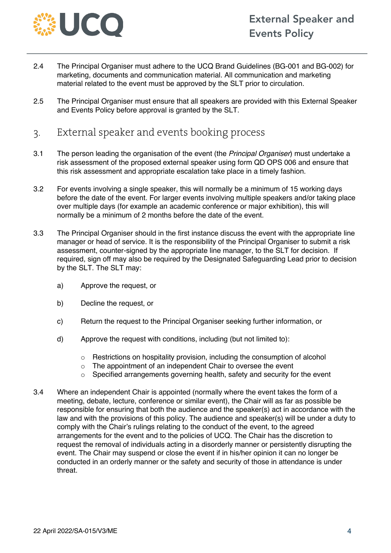

- 2.4 The Principal Organiser must adhere to the UCQ Brand Guidelines (BG-001 and BG-002) for marketing, documents and communication material. All communication and marketing material related to the event must be approved by the SLT prior to circulation.
- 2.5 The Principal Organiser must ensure that all speakers are provided with this External Speaker and Events Policy before approval is granted by the SLT.
- 3. External speaker and events booking process
- 3.1 The person leading the organisation of the event (the *Principal Organiser*) must undertake a risk assessment of the proposed external speaker using form QD OPS 006 and ensure that this risk assessment and appropriate escalation take place in a timely fashion.
- 3.2 For events involving a single speaker, this will normally be a minimum of 15 working days before the date of the event. For larger events involving multiple speakers and/or taking place over multiple days (for example an academic conference or major exhibition), this will normally be a minimum of 2 months before the date of the event.
- 3.3 The Principal Organiser should in the first instance discuss the event with the appropriate line manager or head of service. It is the responsibility of the Principal Organiser to submit a risk assessment, counter-signed by the appropriate line manager, to the SLT for decision. If required, sign off may also be required by the Designated Safeguarding Lead prior to decision by the SLT. The SLT may:
	- a) Approve the request, or
	- b) Decline the request, or
	- c) Return the request to the Principal Organiser seeking further information, or
	- d) Approve the request with conditions, including (but not limited to):
		- $\circ$  Restrictions on hospitality provision, including the consumption of alcohol
		- o The appointment of an independent Chair to oversee the event
		- o Specified arrangements governing health, safety and security for the event
- 3.4 Where an independent Chair is appointed (normally where the event takes the form of a meeting, debate, lecture, conference or similar event), the Chair will as far as possible be responsible for ensuring that both the audience and the speaker(s) act in accordance with the law and with the provisions of this policy. The audience and speaker(s) will be under a duty to comply with the Chair's rulings relating to the conduct of the event, to the agreed arrangements for the event and to the policies of UCQ. The Chair has the discretion to request the removal of individuals acting in a disorderly manner or persistently disrupting the event. The Chair may suspend or close the event if in his/her opinion it can no longer be conducted in an orderly manner or the safety and security of those in attendance is under threat.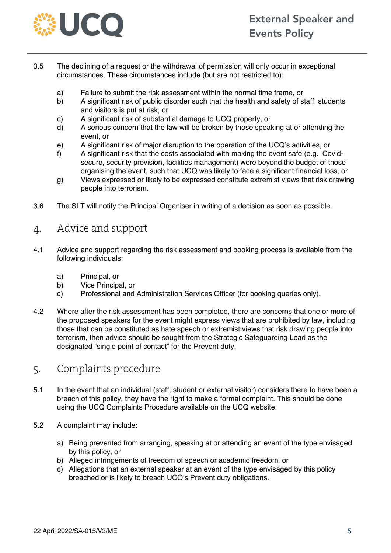

- 3.5 The declining of a request or the withdrawal of permission will only occur in exceptional circumstances. These circumstances include (but are not restricted to):
	- a) Failure to submit the risk assessment within the normal time frame, or
	- b) A significant risk of public disorder such that the health and safety of staff, students and visitors is put at risk, or
	- c) A significant risk of substantial damage to UCQ property, or
	- d) A serious concern that the law will be broken by those speaking at or attending the event, or
	- e) A significant risk of major disruption to the operation of the UCQ's activities, or
	- f) A significant risk that the costs associated with making the event safe (e.g. Covidsecure, security provision, facilities management) were beyond the budget of those organising the event, such that UCQ was likely to face a significant financial loss, or
	- g) Views expressed or likely to be expressed constitute extremist views that risk drawing people into terrorism.
- 3.6 The SLT will notify the Principal Organiser in writing of a decision as soon as possible.

## 4. Advice and support

- 4.1 Advice and support regarding the risk assessment and booking process is available from the following individuals:
	- a) Principal, or
	- b) Vice Principal, or
	- c) Professional and Administration Services Officer (for booking queries only).
- 4.2 Where after the risk assessment has been completed, there are concerns that one or more of the proposed speakers for the event might express views that are prohibited by law, including those that can be constituted as hate speech or extremist views that risk drawing people into terrorism, then advice should be sought from the Strategic Safeguarding Lead as the designated "single point of contact" for the Prevent duty.

## 5. Complaints procedure

- 5.1 In the event that an individual (staff, student or external visitor) considers there to have been a breach of this policy, they have the right to make a formal complaint. This should be done using the UCQ Complaints Procedure available on the UCQ website.
- 5.2 A complaint may include:
	- a) Being prevented from arranging, speaking at or attending an event of the type envisaged by this policy, or
	- b) Alleged infringements of freedom of speech or academic freedom, or
	- c) Allegations that an external speaker at an event of the type envisaged by this policy breached or is likely to breach UCQ's Prevent duty obligations.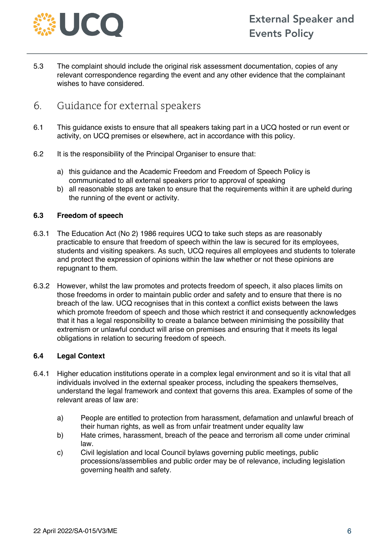

5.3 The complaint should include the original risk assessment documentation, copies of any relevant correspondence regarding the event and any other evidence that the complainant wishes to have considered.

## 6. Guidance for external speakers

- 6.1 This guidance exists to ensure that all speakers taking part in a UCQ hosted or run event or activity, on UCQ premises or elsewhere, act in accordance with this policy.
- 6.2 It is the responsibility of the Principal Organiser to ensure that:
	- a) this guidance and the Academic Freedom and Freedom of Speech Policy is communicated to all external speakers prior to approval of speaking
	- b) all reasonable steps are taken to ensure that the requirements within it are upheld during the running of the event or activity.

#### **6.3 Freedom of speech**

- 6.3.1 The Education Act (No 2) 1986 requires UCQ to take such steps as are reasonably practicable to ensure that freedom of speech within the law is secured for its employees, students and visiting speakers. As such, UCQ requires all employees and students to tolerate and protect the expression of opinions within the law whether or not these opinions are repugnant to them.
- 6.3.2 However, whilst the law promotes and protects freedom of speech, it also places limits on those freedoms in order to maintain public order and safety and to ensure that there is no breach of the law. UCQ recognises that in this context a conflict exists between the laws which promote freedom of speech and those which restrict it and consequently acknowledges that it has a legal responsibility to create a balance between minimising the possibility that extremism or unlawful conduct will arise on premises and ensuring that it meets its legal obligations in relation to securing freedom of speech.

#### **6.4 Legal Context**

- 6.4.1 Higher education institutions operate in a complex legal environment and so it is vital that all individuals involved in the external speaker process, including the speakers themselves, understand the legal framework and context that governs this area. Examples of some of the relevant areas of law are:
	- a) People are entitled to protection from harassment, defamation and unlawful breach of their human rights, as well as from unfair treatment under equality law
	- b) Hate crimes, harassment, breach of the peace and terrorism all come under criminal law.
	- c) Civil legislation and local Council bylaws governing public meetings, public processions/assemblies and public order may be of relevance, including legislation governing health and safety.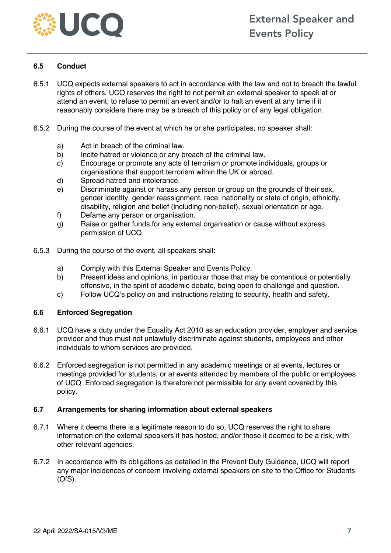

#### **6.5 Conduct**

- 6.5.1 UCQ expects external speakers to act in accordance with the law and not to breach the lawful rights of others. UCQ reserves the right to not permit an external speaker to speak at or attend an event, to refuse to permit an event and/or to halt an event at any time if it reasonably considers there may be a breach of this policy or of any legal obligation.
- 6.5.2 During the course of the event at which he or she participates, no speaker shall:
	- a) Act in breach of the criminal law.
	- b) Incite hatred or violence or any breach of the criminal law.
	- c) Encourage or promote any acts of terrorism or promote individuals, groups or organisations that support terrorism within the UK or abroad.
	- d) Spread hatred and intolerance.
	- e) Discriminate against or harass any person or group on the grounds of their sex, gender identity, gender reassignment, race, nationality or state of origin, ethnicity, disability, religion and belief (including non-belief), sexual orientation or age.
	- f) Defame any person or organisation.
	- g) Raise or gather funds for any external organisation or cause without express permission of UCQ
- 6.5.3 During the course of the event, all speakers shall:
	- a) Comply with this External Speaker and Events Policy.
	- b) Present ideas and opinions, in particular those that may be contentious or potentially offensive, in the spirit of academic debate, being open to challenge and question.
	- c) Follow UCQ's policy on and instructions relating to security, health and safety.

#### **6.6 Enforced Segregation**

- 6.6.1 UCQ have a duty under the Equality Act 2010 as an education provider, employer and service provider and thus must not unlawfully discriminate against students, employees and other individuals to whom services are provided.
- 6.6.2 Enforced segregation is not permitted in any academic meetings or at events, lectures or meetings provided for students, or at events attended by members of the public or employees of UCQ. Enforced segregation is therefore not permissible for any event covered by this policy.

#### **6.7 Arrangements for sharing information about external speakers**

- 6.7.1 Where it deems there is a legitimate reason to do so, UCQ reserves the right to share information on the external speakers it has hosted, and/or those it deemed to be a risk, with other relevant agencies.
- 6.7.2 In accordance with its obligations as detailed in the Prevent Duty Guidance, UCQ will report any major incidences of concern involving external speakers on site to the Office for Students (OfS).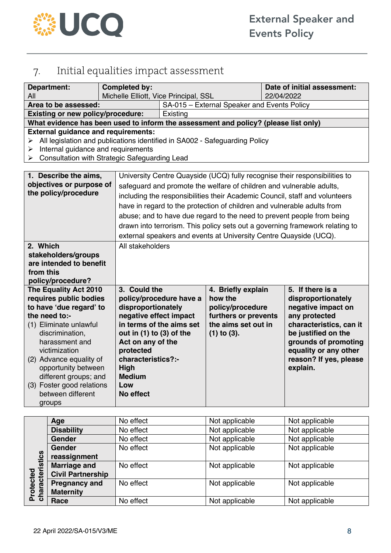

# 7. Initial equalities impact assessment

| <b>Department:</b><br>All                                                                                                                                                                                                             | <b>Completed by:</b>                              | Michelle Elliott, Vice Principal, SSL                                        |                                             | Date of initial assessment:<br>22/04/2022 |                                             |  |
|---------------------------------------------------------------------------------------------------------------------------------------------------------------------------------------------------------------------------------------|---------------------------------------------------|------------------------------------------------------------------------------|---------------------------------------------|-------------------------------------------|---------------------------------------------|--|
| Area to be assessed:                                                                                                                                                                                                                  |                                                   |                                                                              | SA-015 - External Speaker and Events Policy |                                           |                                             |  |
| <b>Existing or new policy/procedure:</b>                                                                                                                                                                                              |                                                   | Existing                                                                     |                                             |                                           |                                             |  |
| What evidence has been used to inform the assessment and policy? (please list only)                                                                                                                                                   |                                                   |                                                                              |                                             |                                           |                                             |  |
| <b>External guidance and requirements:</b><br>All legislation and publications identified in SA002 - Safeguarding Policy<br>➤<br>Internal guidance and requirements<br>➤<br><b>Consultation with Strategic Safeguarding Lead</b><br>➤ |                                                   |                                                                              |                                             |                                           |                                             |  |
| 1. Describe the aims,                                                                                                                                                                                                                 |                                                   | University Centre Quayside (UCQ) fully recognise their responsibilities to   |                                             |                                           |                                             |  |
| objectives or purpose of                                                                                                                                                                                                              |                                                   | safeguard and promote the welfare of children and vulnerable adults,         |                                             |                                           |                                             |  |
| the policy/procedure                                                                                                                                                                                                                  |                                                   | including the responsibilities their Academic Council, staff and volunteers  |                                             |                                           |                                             |  |
|                                                                                                                                                                                                                                       |                                                   | have in regard to the protection of children and vulnerable adults from      |                                             |                                           |                                             |  |
|                                                                                                                                                                                                                                       |                                                   | abuse; and to have due regard to the need to prevent people from being       |                                             |                                           |                                             |  |
|                                                                                                                                                                                                                                       |                                                   | drawn into terrorism. This policy sets out a governing framework relating to |                                             |                                           |                                             |  |
|                                                                                                                                                                                                                                       |                                                   | external speakers and events at University Centre Quayside (UCQ).            |                                             |                                           |                                             |  |
| 2. Which                                                                                                                                                                                                                              |                                                   | All stakeholders                                                             |                                             |                                           |                                             |  |
| stakeholders/groups                                                                                                                                                                                                                   |                                                   |                                                                              |                                             |                                           |                                             |  |
| are intended to benefit                                                                                                                                                                                                               |                                                   |                                                                              |                                             |                                           |                                             |  |
| from this                                                                                                                                                                                                                             |                                                   |                                                                              |                                             |                                           |                                             |  |
| policy/procedure?                                                                                                                                                                                                                     |                                                   |                                                                              |                                             |                                           |                                             |  |
| The Equality Act 2010                                                                                                                                                                                                                 | 3. Could the                                      |                                                                              | 4. Briefly explain                          |                                           | 5. If there is a                            |  |
| requires public bodies                                                                                                                                                                                                                |                                                   | policy/procedure have a                                                      | how the                                     |                                           | disproportionately                          |  |
| to have 'due regard' to                                                                                                                                                                                                               | disproportionately                                |                                                                              | policy/procedure                            |                                           | negative impact on                          |  |
| the need to:-                                                                                                                                                                                                                         | negative effect impact                            |                                                                              | furthers or prevents                        |                                           | any protected                               |  |
| (1) Eliminate unlawful                                                                                                                                                                                                                |                                                   | in terms of the aims set                                                     | the aims set out in                         |                                           | characteristics, can it                     |  |
| discrimination,<br>harassment and                                                                                                                                                                                                     | out in $(1)$ to $(3)$ of the<br>Act on any of the |                                                                              | $(1)$ to $(3)$ .                            |                                           | be justified on the<br>grounds of promoting |  |
| victimization                                                                                                                                                                                                                         | protected                                         |                                                                              |                                             |                                           | equality or any other                       |  |
| (2) Advance equality of                                                                                                                                                                                                               | characteristics?:-                                |                                                                              |                                             |                                           | reason? If yes, please                      |  |
| opportunity between                                                                                                                                                                                                                   | High                                              |                                                                              |                                             |                                           | explain.                                    |  |
| different groups; and                                                                                                                                                                                                                 | <b>Medium</b>                                     |                                                                              |                                             |                                           |                                             |  |
| (3) Foster good relations                                                                                                                                                                                                             | Low                                               |                                                                              |                                             |                                           |                                             |  |
| between different                                                                                                                                                                                                                     | No effect                                         |                                                                              |                                             |                                           |                                             |  |
| groups                                                                                                                                                                                                                                |                                                   |                                                                              |                                             |                                           |                                             |  |

|                         | Age                      | No effect | Not applicable | Not applicable |
|-------------------------|--------------------------|-----------|----------------|----------------|
|                         | <b>Disability</b>        | No effect | Not applicable | Not applicable |
|                         | <b>Gender</b>            | No effect | Not applicable | Not applicable |
|                         | <b>Gender</b>            | No effect | Not applicable | Not applicable |
|                         | reassignment             |           |                |                |
| racteristics            | <b>Marriage and</b>      | No effect | Not applicable | Not applicable |
|                         | <b>Civil Partnership</b> |           |                |                |
| Protected<br>characteri | <b>Pregnancy and</b>     | No effect | Not applicable | Not applicable |
|                         | <b>Maternity</b>         |           |                |                |
|                         | Race                     | No effect | Not applicable | Not applicable |
|                         |                          |           |                |                |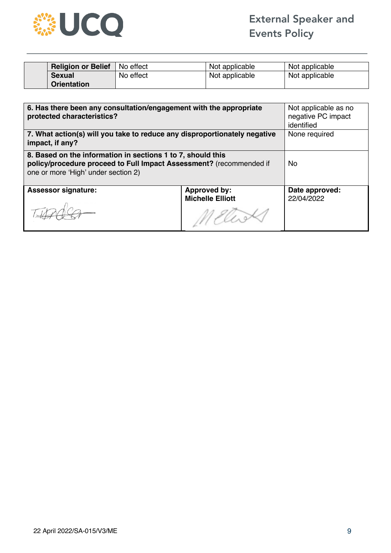

| <b>Religion or Belief</b>   No effect |           | Not applicable | Not applicable |
|---------------------------------------|-----------|----------------|----------------|
| <b>Sexual</b>                         | No effect | Not applicable | Not applicable |
| <b>Orientation</b>                    |           |                |                |

| 6. Has there been any consultation/engagement with the appropriate<br>protected characteristics?                                                                          | Not applicable as no<br>negative PC impact<br>identified |                              |
|---------------------------------------------------------------------------------------------------------------------------------------------------------------------------|----------------------------------------------------------|------------------------------|
| 7. What action(s) will you take to reduce any disproportionately negative<br>impact, if any?                                                                              | None required                                            |                              |
| 8. Based on the information in sections 1 to 7, should this<br>policy/procedure proceed to Full Impact Assessment? (recommended if<br>one or more 'High' under section 2) | No.                                                      |                              |
| <b>Assessor signature:</b>                                                                                                                                                | <b>Approved by:</b><br><b>Michelle Elliott</b>           | Date approved:<br>22/04/2022 |
|                                                                                                                                                                           |                                                          |                              |